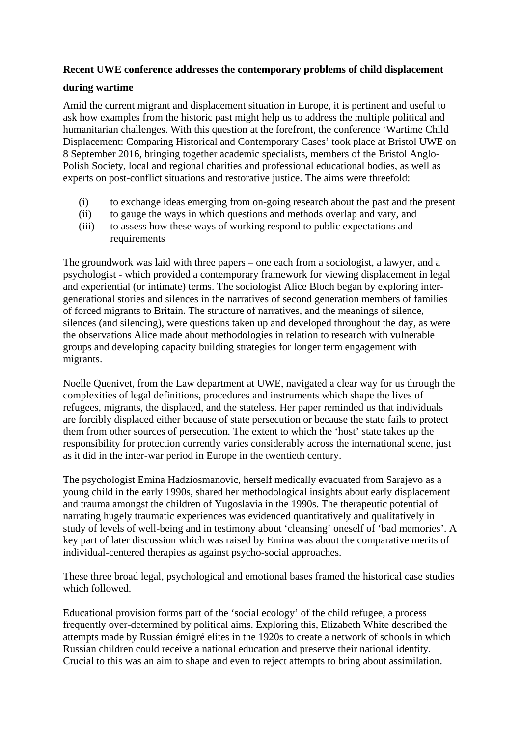## **Recent UWE conference addresses the contemporary problems of child displacement**

## **during wartime**

Amid the current migrant and displacement situation in Europe, it is pertinent and useful to ask how examples from the historic past might help us to address the multiple political and humanitarian challenges. With this question at the forefront, the conference 'Wartime Child Displacement: Comparing Historical and Contemporary Cases' took place at Bristol UWE on 8 September 2016, bringing together academic specialists, members of the Bristol Anglo-Polish Society, local and regional charities and professional educational bodies, as well as experts on post-conflict situations and restorative justice. The aims were threefold:

- (i) to exchange ideas emerging from on-going research about the past and the present
- (ii) to gauge the ways in which questions and methods overlap and vary, and
- (iii) to assess how these ways of working respond to public expectations and requirements

The groundwork was laid with three papers – one each from a sociologist, a lawyer, and a psychologist - which provided a contemporary framework for viewing displacement in legal and experiential (or intimate) terms. The sociologist Alice Bloch began by exploring intergenerational stories and silences in the narratives of second generation members of families of forced migrants to Britain. The structure of narratives, and the meanings of silence, silences (and silencing), were questions taken up and developed throughout the day, as were the observations Alice made about methodologies in relation to research with vulnerable groups and developing capacity building strategies for longer term engagement with migrants.

Noelle Quenivet, from the Law department at UWE, navigated a clear way for us through the complexities of legal definitions, procedures and instruments which shape the lives of refugees, migrants, the displaced, and the stateless. Her paper reminded us that individuals are forcibly displaced either because of state persecution or because the state fails to protect them from other sources of persecution. The extent to which the 'host' state takes up the responsibility for protection currently varies considerably across the international scene, just as it did in the inter-war period in Europe in the twentieth century.

The psychologist Emina Hadziosmanovic, herself medically evacuated from Sarajevo as a young child in the early 1990s, shared her methodological insights about early displacement and trauma amongst the children of Yugoslavia in the 1990s. The therapeutic potential of narrating hugely traumatic experiences was evidenced quantitatively and qualitatively in study of levels of well-being and in testimony about 'cleansing' oneself of 'bad memories'. A key part of later discussion which was raised by Emina was about the comparative merits of individual-centered therapies as against psycho-social approaches.

These three broad legal, psychological and emotional bases framed the historical case studies which followed.

Educational provision forms part of the 'social ecology' of the child refugee, a process frequently over-determined by political aims. Exploring this, Elizabeth White described the attempts made by Russian émigré elites in the 1920s to create a network of schools in which Russian children could receive a national education and preserve their national identity. Crucial to this was an aim to shape and even to reject attempts to bring about assimilation.